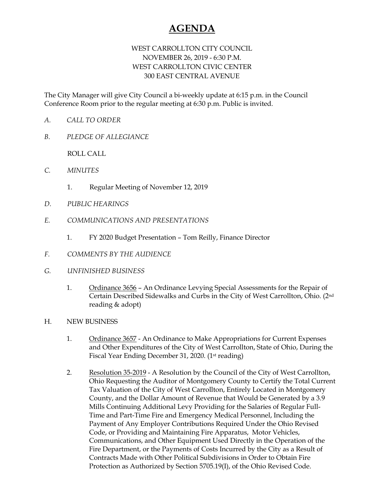## **AGENDA**

## WEST CARROLLTON CITY COUNCIL NOVEMBER 26, 2019 - 6:30 P.M. WEST CARROLLTON CIVIC CENTER 300 EAST CENTRAL AVENUE

The City Manager will give City Council a bi-weekly update at 6:15 p.m. in the Council Conference Room prior to the regular meeting at 6:30 p.m. Public is invited.

- *A. CALL TO ORDER*
- *B. PLEDGE OF ALLEGIANCE*

ROLL CALL

- *C. MINUTES* 
	- 1. Regular Meeting of November 12, 2019
- *D. PUBLIC HEARINGS*
- *E. COMMUNICATIONS AND PRESENTATIONS* 
	- 1. FY 2020 Budget Presentation Tom Reilly, Finance Director
- *F. COMMENTS BY THE AUDIENCE*
- *G. UNFINISHED BUSINESS* 
	- 1. Ordinance 3656 An Ordinance Levying Special Assessments for the Repair of Certain Described Sidewalks and Curbs in the City of West Carrollton, Ohio. (2nd reading & adopt)
- H. NEW BUSINESS
	- 1. Ordinance 3657 An Ordinance to Make Appropriations for Current Expenses and Other Expenditures of the City of West Carrollton, State of Ohio, During the Fiscal Year Ending December 31, 2020. (1st reading)
	- 2. Resolution 35-2019 A Resolution by the Council of the City of West Carrollton, Ohio Requesting the Auditor of Montgomery County to Certify the Total Current Tax Valuation of the City of West Carrollton, Entirely Located in Montgomery County, and the Dollar Amount of Revenue that Would be Generated by a 3.9 Mills Continuing Additional Levy Providing for the Salaries of Regular Full-Time and Part-Time Fire and Emergency Medical Personnel, Including the Payment of Any Employer Contributions Required Under the Ohio Revised Code, or Providing and Maintaining Fire Apparatus, Motor Vehicles, Communications, and Other Equipment Used Directly in the Operation of the Fire Department, or the Payments of Costs Incurred by the City as a Result of Contracts Made with Other Political Subdivisions in Order to Obtain Fire Protection as Authorized by Section 5705.19(I), of the Ohio Revised Code.